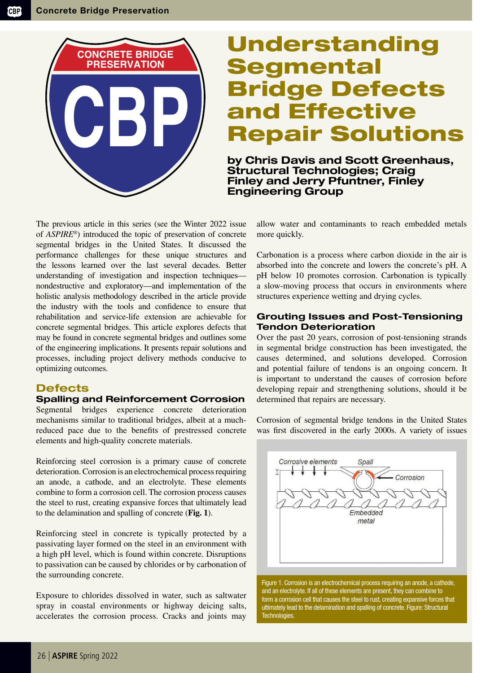

# Understanding **Segmental** Bridge Defects and Effective Repair Solutions

by Chris Davis and Scott Greenhaus, Structural Technologies; Craig Finley and Jerry Pfuntner, Finley Engineering Group

The previous article in this series (see the Winter 2022 issue of *ASPIRE*®) introduced the topic of preservation of concrete segmental bridges in the United States. It discussed the performance challenges for these unique structures and the lessons learned over the last several decades. Better understanding of investigation and inspection techniques nondestructive and exploratory—and implementation of the holistic analysis methodology described in the article provide the industry with the tools and confidence to ensure that rehabilitation and service-life extension are achievable for concrete segmental bridges. This article explores defects that may be found in concrete segmental bridges and outlines some of the engineering implications. It presents repair solutions and processes, including project delivery methods conducive to optimizing outcomes.

# **Defects**

#### Spalling and Reinforcement Corrosion

Segmental bridges experience concrete deterioration mechanisms similar to traditional bridges, albeit at a muchreduced pace due to the benefits of prestressed concrete elements and high-quality concrete materials.

Reinforcing steel corrosion is a primary cause of concrete deterioration. Corrosion is an electrochemical process requiring an anode, a cathode, and an electrolyte. These elements combine to form a corrosion cell. The corrosion process causes the steel to rust, creating expansive forces that ultimately lead to the delamination and spalling of concrete (**Fig. 1**).

Reinforcing steel in concrete is typically protected by a passivating layer formed on the steel in an environment with a high pH level, which is found within concrete. Disruptions to passivation can be caused by chlorides or by carbonation of the surrounding concrete.

Exposure to chlorides dissolved in water, such as saltwater spray in coastal environments or highway deicing salts, accelerates the corrosion process. Cracks and joints may allow water and contaminants to reach embedded metals more quickly.

Carbonation is a process where carbon dioxide in the air is absorbed into the concrete and lowers the concrete's pH. A pH below 10 promotes corrosion. Carbonation is typically a slow-moving process that occurs in environments where structures experience wetting and drying cycles.

## Grouting Issues and Post-Tensioning Tendon Deterioration

Over the past 20 years, corrosion of post-tensioning strands in segmental bridge construction has been investigated, the causes determined, and solutions developed. Corrosion and potential failure of tendons is an ongoing concern. It is important to understand the causes of corrosion before developing repair and strengthening solutions, should it be determined that repairs are necessary.

Corrosion of segmental bridge tendons in the United States was first discovered in the early 2000s. A variety of issues



Figure 1. Corrosion is an electrochemical process requiring an anode, a cathode, and an electrolyte. If all of these elements are present, they can combine to form a corrosion cell that causes the steel to rust, creating expansive forces that ultimately lead to the delamination and spalling of concrete. Figure: Structural Technologies.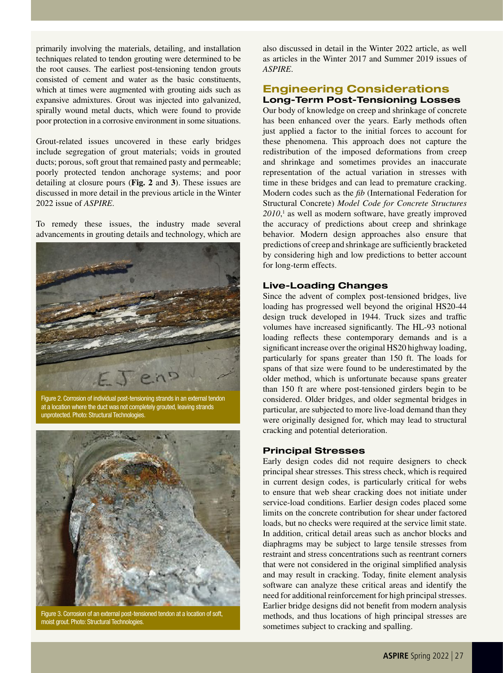primarily involving the materials, detailing, and installation techniques related to tendon grouting were determined to be the root causes. The earliest post-tensioning tendon grouts consisted of cement and water as the basic constituents, which at times were augmented with grouting aids such as expansive admixtures. Grout was injected into galvanized, spirally wound metal ducts, which were found to provide poor protection in a corrosive environment in some situations.

Grout-related issues uncovered in these early bridges include segregation of grout materials; voids in grouted ducts; porous, soft grout that remained pasty and permeable; poorly protected tendon anchorage systems; and poor detailing at closure pours (**Fig. 2** and **3**). These issues are discussed in more detail in the previous article in the Winter 2022 issue of *ASPIRE*.

To remedy these issues, the industry made several advancements in grouting details and technology, which are



Figure 2. Corrosion of individual post-tensioning strands in an external tendon at a location where the duct was not completely grouted, leaving strands unprotected. Photo: Structural Technologies.



Figure 3. Corrosion of an external post-tensioned tendon at a location of soft, moist grout. Photo: Structural Technologies.

also discussed in detail in the Winter 2022 article, as well as articles in the Winter 2017 and Summer 2019 issues of *ASPIRE*.

# Engineering Considerations Long-Term Post-Tensioning Losses

Our body of knowledge on creep and shrinkage of concrete has been enhanced over the years. Early methods often just applied a factor to the initial forces to account for these phenomena. This approach does not capture the redistribution of the imposed deformations from creep and shrinkage and sometimes provides an inaccurate representation of the actual variation in stresses with time in these bridges and can lead to premature cracking. Modern codes such as the *fib* (International Federation for Structural Concrete) *Model Code for Concrete Structures 2010*, 1 as well as modern software, have greatly improved the accuracy of predictions about creep and shrinkage behavior. Modern design approaches also ensure that predictions of creep and shrinkage are sufficiently bracketed by considering high and low predictions to better account for long-term effects.

## Live-Loading Changes

Since the advent of complex post-tensioned bridges, live loading has progressed well beyond the original HS20-44 design truck developed in 1944. Truck sizes and traffic volumes have increased significantly. The HL-93 notional loading reflects these contemporary demands and is a significant increase over the original HS20 highway loading, particularly for spans greater than 150 ft. The loads for spans of that size were found to be underestimated by the older method, which is unfortunate because spans greater than 150 ft are where post-tensioned girders begin to be considered. Older bridges, and older segmental bridges in particular, are subjected to more live-load demand than they were originally designed for, which may lead to structural cracking and potential deterioration.

#### Principal Stresses

Early design codes did not require designers to check principal shear stresses. This stress check, which is required in current design codes, is particularly critical for webs to ensure that web shear cracking does not initiate under service-load conditions. Earlier design codes placed some limits on the concrete contribution for shear under factored loads, but no checks were required at the service limit state. In addition, critical detail areas such as anchor blocks and diaphragms may be subject to large tensile stresses from restraint and stress concentrations such as reentrant corners that were not considered in the original simplified analysis and may result in cracking. Today, finite element analysis software can analyze these critical areas and identify the need for additional reinforcement for high principal stresses. Earlier bridge designs did not benefit from modern analysis methods, and thus locations of high principal stresses are sometimes subject to cracking and spalling.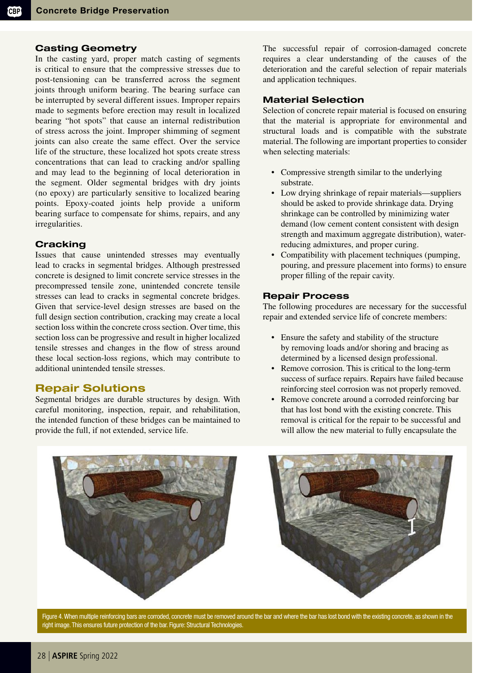## Casting Geometry

In the casting yard, proper match casting of segments is critical to ensure that the compressive stresses due to post-tensioning can be transferred across the segment joints through uniform bearing. The bearing surface can be interrupted by several different issues. Improper repairs made to segments before erection may result in localized bearing "hot spots" that cause an internal redistribution of stress across the joint. Improper shimming of segment joints can also create the same effect. Over the service life of the structure, these localized hot spots create stress concentrations that can lead to cracking and/or spalling and may lead to the beginning of local deterioration in the segment. Older segmental bridges with dry joints (no epoxy) are particularly sensitive to localized bearing points. Epoxy-coated joints help provide a uniform bearing surface to compensate for shims, repairs, and any irregularities.

## **Cracking**

Issues that cause unintended stresses may eventually lead to cracks in segmental bridges. Although prestressed concrete is designed to limit concrete service stresses in the precompressed tensile zone, unintended concrete tensile stresses can lead to cracks in segmental concrete bridges. Given that service-level design stresses are based on the full design section contribution, cracking may create a local section loss within the concrete cross section. Over time, this section loss can be progressive and result in higher localized tensile stresses and changes in the flow of stress around these local section-loss regions, which may contribute to additional unintended tensile stresses.

# Repair Solutions

Segmental bridges are durable structures by design. With careful monitoring, inspection, repair, and rehabilitation, the intended function of these bridges can be maintained to provide the full, if not extended, service life.

The successful repair of corrosion-damaged concrete requires a clear understanding of the causes of the deterioration and the careful selection of repair materials and application techniques.

## Material Selection

Selection of concrete repair material is focused on ensuring that the material is appropriate for environmental and structural loads and is compatible with the substrate material. The following are important properties to consider when selecting materials:

- Compressive strength similar to the underlying substrate.
- Low drying shrinkage of repair materials—suppliers should be asked to provide shrinkage data. Drying shrinkage can be controlled by minimizing water demand (low cement content consistent with design strength and maximum aggregate distribution), waterreducing admixtures, and proper curing.
- Compatibility with placement techniques (pumping, pouring, and pressure placement into forms) to ensure proper filling of the repair cavity.

## Repair Process

The following procedures are necessary for the successful repair and extended service life of concrete members:

- Ensure the safety and stability of the structure by removing loads and/or shoring and bracing as determined by a licensed design professional.
- Remove corrosion. This is critical to the long-term success of surface repairs. Repairs have failed because reinforcing steel corrosion was not properly removed.
- Remove concrete around a corroded reinforcing bar that has lost bond with the existing concrete. This removal is critical for the repair to be successful and will allow the new material to fully encapsulate the



Figure 4. When multiple reinforcing bars are corroded, concrete must be removed around the bar and where the bar has lost bond with the existing concrete, as shown in the right image. This ensures future protection of the bar. Figure: Structural Technologies.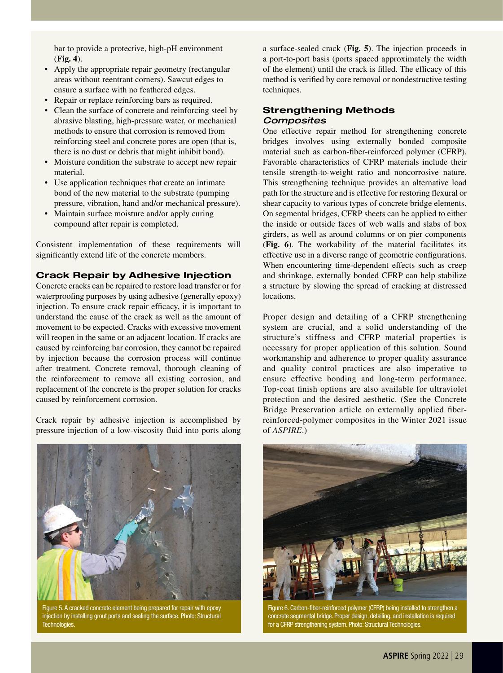bar to provide a protective, high-pH environment (**Fig. 4**).

- Apply the appropriate repair geometry (rectangular areas without reentrant corners). Sawcut edges to ensure a surface with no feathered edges.
- Repair or replace reinforcing bars as required.
- Clean the surface of concrete and reinforcing steel by abrasive blasting, high-pressure water, or mechanical methods to ensure that corrosion is removed from reinforcing steel and concrete pores are open (that is, there is no dust or debris that might inhibit bond).
- Moisture condition the substrate to accept new repair material.
- Use application techniques that create an intimate bond of the new material to the substrate (pumping pressure, vibration, hand and/or mechanical pressure).
- Maintain surface moisture and/or apply curing compound after repair is completed.

Consistent implementation of these requirements will significantly extend life of the concrete members.

## Crack Repair by Adhesive Injection

Concrete cracks can be repaired to restore load transfer or for waterproofing purposes by using adhesive (generally epoxy) injection. To ensure crack repair efficacy, it is important to understand the cause of the crack as well as the amount of movement to be expected. Cracks with excessive movement will reopen in the same or an adjacent location. If cracks are caused by reinforcing bar corrosion, they cannot be repaired by injection because the corrosion process will continue after treatment. Concrete removal, thorough cleaning of the reinforcement to remove all existing corrosion, and replacement of the concrete is the proper solution for cracks caused by reinforcement corrosion.

Crack repair by adhesive injection is accomplished by pressure injection of a low-viscosity fluid into ports along



Figure 5. A cracked concrete element being prepared for repair with epoxy injection by installing grout ports and sealing the surface. Photo: Structural Technologies.

a surface-sealed crack (**Fig. 5)**. The injection proceeds in a port-to-port basis (ports spaced approximately the width of the element) until the crack is filled. The efficacy of this method is verified by core removal or nondestructive testing techniques.

#### Strengthening Methods *Composites*

One effective repair method for strengthening concrete bridges involves using externally bonded composite material such as carbon-fiber-reinforced polymer (CFRP). Favorable characteristics of CFRP materials include their tensile strength-to-weight ratio and noncorrosive nature. This strengthening technique provides an alternative load path for the structure and is effective for restoring flexural or shear capacity to various types of concrete bridge elements. On segmental bridges, CFRP sheets can be applied to either the inside or outside faces of web walls and slabs of box girders, as well as around columns or on pier components (**Fig. 6**). The workability of the material facilitates its effective use in a diverse range of geometric configurations. When encountering time-dependent effects such as creep and shrinkage, externally bonded CFRP can help stabilize a structure by slowing the spread of cracking at distressed locations.

Proper design and detailing of a CFRP strengthening system are crucial, and a solid understanding of the structure's stiffness and CFRP material properties is necessary for proper application of this solution. Sound workmanship and adherence to proper quality assurance and quality control practices are also imperative to ensure effective bonding and long-term performance. Top-coat finish options are also available for ultraviolet protection and the desired aesthetic. (See the Concrete Bridge Preservation article on externally applied fiberreinforced-polymer composites in the Winter 2021 issue of *ASPIRE*.)



Figure 6. Carbon-fiber-reinforced polymer (CFRP) being installed to strengthen a concrete segmental bridge. Proper design, detailing, and installation is required for a CFRP strengthening system. Photo: Structural Technologies.